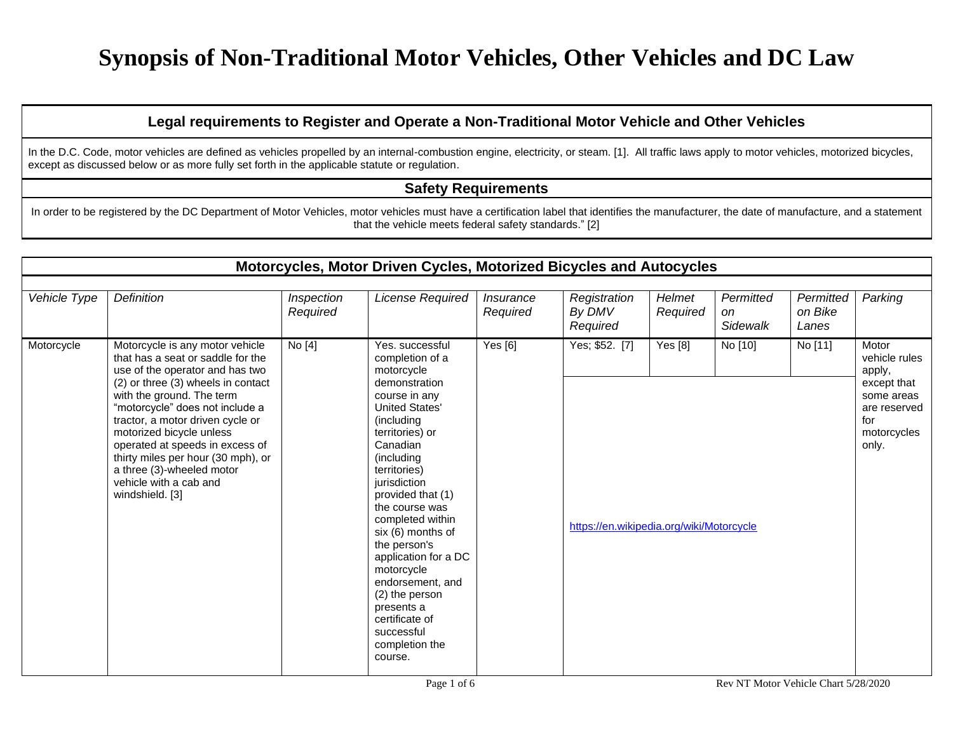#### **Legal requirements to Register and Operate a Non-Traditional Motor Vehicle and Other Vehicles**

In the D.C. Code, motor vehicles are defined as vehicles propelled by an internal-combustion engine, electricity, or steam. [1]. All traffic laws apply to motor vehicles, motorized bicycles, except as discussed below or as more fully set forth in the applicable statute or regulation.

#### **Safety Requirements**

In order to be registered by the DC Department of Motor Vehicles, motor vehicles must have a certification label that identifies the manufacturer, the date of manufacture, and a statement that the vehicle meets federal safety standards." [2]

|              |                                                                                                                                                                                                                                                                                                                                                                                                                                  |                        | Motorcycles, Motor Driven Cycles, Motorized Bicycles and Autocycles                                                                                                                                                                                                                                                                                                                                                                                           |                              |                                                            |                    |                              |                               |                                                                                                              |
|--------------|----------------------------------------------------------------------------------------------------------------------------------------------------------------------------------------------------------------------------------------------------------------------------------------------------------------------------------------------------------------------------------------------------------------------------------|------------------------|---------------------------------------------------------------------------------------------------------------------------------------------------------------------------------------------------------------------------------------------------------------------------------------------------------------------------------------------------------------------------------------------------------------------------------------------------------------|------------------------------|------------------------------------------------------------|--------------------|------------------------------|-------------------------------|--------------------------------------------------------------------------------------------------------------|
| Vehicle Type | Definition                                                                                                                                                                                                                                                                                                                                                                                                                       | Inspection<br>Required | License Required                                                                                                                                                                                                                                                                                                                                                                                                                                              | <i>Insurance</i><br>Required | Registration<br>By DMV<br>Required                         | Helmet<br>Required | Permitted<br>on.<br>Sidewalk | Permitted<br>on Bike<br>Lanes | Parking                                                                                                      |
| Motorcycle   | Motorcycle is any motor vehicle<br>that has a seat or saddle for the<br>use of the operator and has two<br>(2) or three (3) wheels in contact<br>with the ground. The term<br>"motorcycle" does not include a<br>tractor, a motor driven cycle or<br>motorized bicycle unless<br>operated at speeds in excess of<br>thirty miles per hour (30 mph), or<br>a three (3)-wheeled motor<br>vehicle with a cab and<br>windshield. [3] | No [4]                 | Yes, successful<br>completion of a<br>motorcycle<br>demonstration<br>course in any<br><b>United States'</b><br>(including<br>territories) or<br>Canadian<br>(including<br>territories)<br>jurisdiction<br>provided that (1)<br>the course was<br>completed within<br>six (6) months of<br>the person's<br>application for a DC<br>motorcycle<br>endorsement, and<br>(2) the person<br>presents a<br>certificate of<br>successful<br>completion the<br>course. | Yes $[6]$                    | Yes; \$52. [7]<br>https://en.wikipedia.org/wiki/Motorcycle | Yes $[8]$          | No [10]                      | No [11]                       | Motor<br>vehicle rules<br>apply,<br>except that<br>some areas<br>are reserved<br>for<br>motorcycles<br>only. |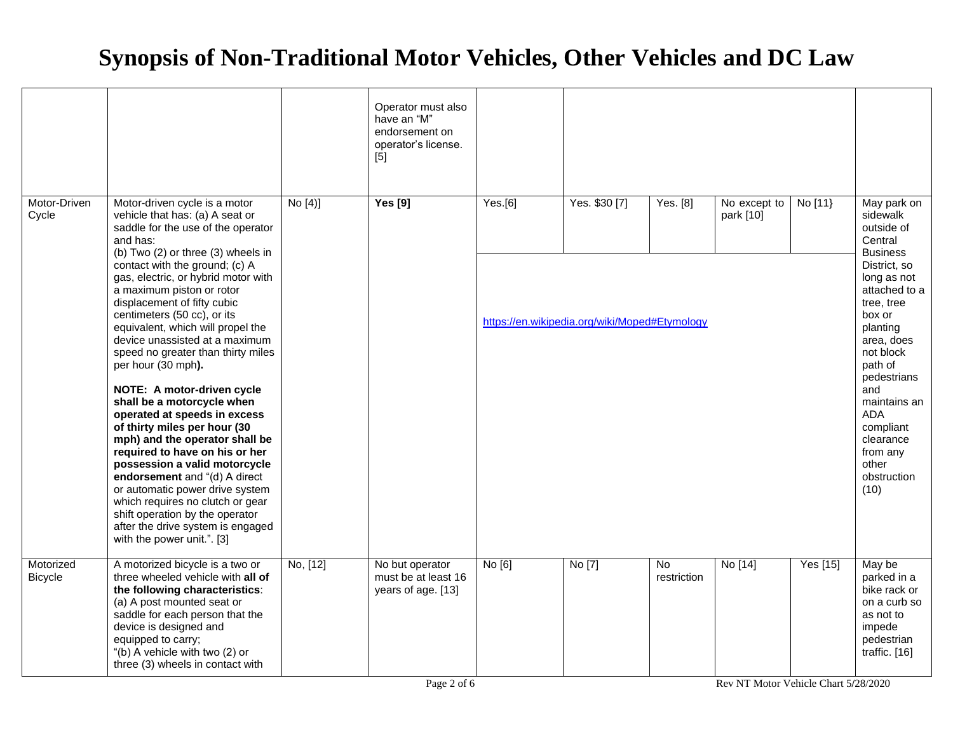|                             |                                                                                                                                                                                                                                                                                                                                                                                                                                                                                                                                                                                                                                                                                                                                                                                                                                                                                                                |          | Operator must also<br>have an "M"<br>endorsement on<br>operator's license.<br>[5] |         |                                                                |                               |                           |          |                                                                                                                                                                                                                                                                                                                         |
|-----------------------------|----------------------------------------------------------------------------------------------------------------------------------------------------------------------------------------------------------------------------------------------------------------------------------------------------------------------------------------------------------------------------------------------------------------------------------------------------------------------------------------------------------------------------------------------------------------------------------------------------------------------------------------------------------------------------------------------------------------------------------------------------------------------------------------------------------------------------------------------------------------------------------------------------------------|----------|-----------------------------------------------------------------------------------|---------|----------------------------------------------------------------|-------------------------------|---------------------------|----------|-------------------------------------------------------------------------------------------------------------------------------------------------------------------------------------------------------------------------------------------------------------------------------------------------------------------------|
| Motor-Driven<br>Cycle       | Motor-driven cycle is a motor<br>vehicle that has: (a) A seat or<br>saddle for the use of the operator<br>and has:<br>(b) Two (2) or three (3) wheels in<br>contact with the ground; (c) A<br>gas, electric, or hybrid motor with<br>a maximum piston or rotor<br>displacement of fifty cubic<br>centimeters (50 cc), or its<br>equivalent, which will propel the<br>device unassisted at a maximum<br>speed no greater than thirty miles<br>per hour (30 mph).<br>NOTE: A motor-driven cycle<br>shall be a motorcycle when<br>operated at speeds in excess<br>of thirty miles per hour (30<br>mph) and the operator shall be<br>required to have on his or her<br>possession a valid motorcycle<br>endorsement and "(d) A direct<br>or automatic power drive system<br>which requires no clutch or gear<br>shift operation by the operator<br>after the drive system is engaged<br>with the power unit.". [3] | No [4]   | <b>Yes</b> [9]                                                                    | Yes.[6] | Yes. \$30 [7]<br>https://en.wikipedia.org/wiki/Moped#Etymology | Yes. [8]                      | No except to<br>park [10] | No [11]  | May park on<br>sidewalk<br>outside of<br>Central<br><b>Business</b><br>District, so<br>long as not<br>attached to a<br>tree, tree<br>box or<br>planting<br>area, does<br>not block<br>path of<br>pedestrians<br>and<br>maintains an<br><b>ADA</b><br>compliant<br>clearance<br>from any<br>other<br>obstruction<br>(10) |
| Motorized<br><b>Bicycle</b> | A motorized bicycle is a two or<br>three wheeled vehicle with all of<br>the following characteristics:<br>(a) A post mounted seat or<br>saddle for each person that the<br>device is designed and<br>equipped to carry;<br>"(b) A vehicle with two (2) or<br>three (3) wheels in contact with                                                                                                                                                                                                                                                                                                                                                                                                                                                                                                                                                                                                                  | No, [12] | No but operator<br>must be at least 16<br>years of age. [13]                      | No [6]  | No [7]                                                         | $\overline{N}$<br>restriction | No [14]                   | Yes [15] | May be<br>parked in a<br>bike rack or<br>on a curb so<br>as not to<br>impede<br>pedestrian<br>traffic. [16]                                                                                                                                                                                                             |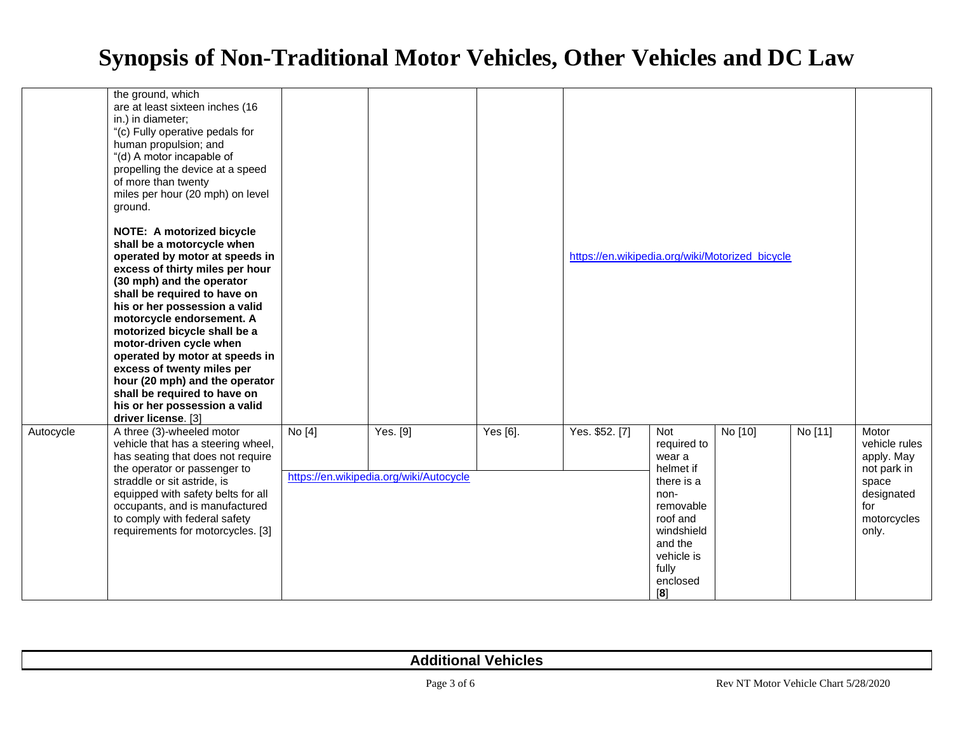|           | the ground, which<br>are at least sixteen inches (16<br>in.) in diameter;<br>"(c) Fully operative pedals for<br>human propulsion; and<br>"(d) A motor incapable of<br>propelling the device at a speed<br>of more than twenty<br>miles per hour (20 mph) on level<br>ground.                                                                                                                                                                                                                                        |        |                                                     |          |                                                 |                                                                                                                                                             |         |         |                                                                                                           |
|-----------|---------------------------------------------------------------------------------------------------------------------------------------------------------------------------------------------------------------------------------------------------------------------------------------------------------------------------------------------------------------------------------------------------------------------------------------------------------------------------------------------------------------------|--------|-----------------------------------------------------|----------|-------------------------------------------------|-------------------------------------------------------------------------------------------------------------------------------------------------------------|---------|---------|-----------------------------------------------------------------------------------------------------------|
|           | <b>NOTE: A motorized bicycle</b><br>shall be a motorcycle when<br>operated by motor at speeds in<br>excess of thirty miles per hour<br>(30 mph) and the operator<br>shall be required to have on<br>his or her possession a valid<br>motorcycle endorsement. A<br>motorized bicycle shall be a<br>motor-driven cycle when<br>operated by motor at speeds in<br>excess of twenty miles per<br>hour (20 mph) and the operator<br>shall be required to have on<br>his or her possession a valid<br>driver license. [3] |        |                                                     |          | https://en.wikipedia.org/wiki/Motorized_bicycle |                                                                                                                                                             |         |         |                                                                                                           |
| Autocycle | A three (3)-wheeled motor<br>vehicle that has a steering wheel,<br>has seating that does not require<br>the operator or passenger to<br>straddle or sit astride, is<br>equipped with safety belts for all<br>occupants, and is manufactured<br>to comply with federal safety<br>requirements for motorcycles. [3]                                                                                                                                                                                                   | No [4] | Yes. [9]<br>https://en.wikipedia.org/wiki/Autocycle | Yes [6]. | Yes. \$52. [7]                                  | Not<br>required to<br>wear a<br>helmet if<br>there is a<br>non-<br>removable<br>roof and<br>windshield<br>and the<br>vehicle is<br>fully<br>enclosed<br>[8] | No [10] | No [11] | Motor<br>vehicle rules<br>apply. May<br>not park in<br>space<br>designated<br>for<br>motorcycles<br>only. |

| <b>Additional Vehicles</b> |                                      |
|----------------------------|--------------------------------------|
| Page 3 of 6                | Rev NT Motor Vehicle Chart 5/28/2020 |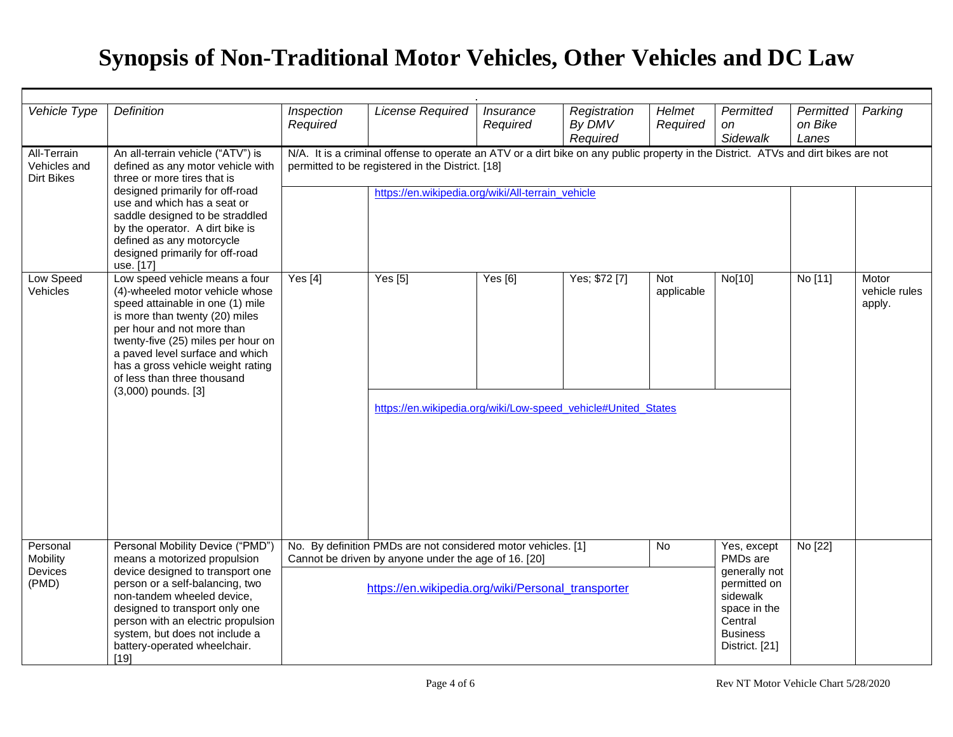| Vehicle Type                                     | <b>Definition</b>                                                                                                                                                                                                                                                                                                                         | Inspection<br>Required                                                                                                                                                                                                                                    | <b>License Required</b>                                                  | Insurance<br>Required | Registration<br>By DMV<br>Required | Helmet<br>Required | Permitted<br><sub>on</sub><br>Sidewalk                                   | Permitted<br>on Bike<br>Lanes | Parking                          |  |
|--------------------------------------------------|-------------------------------------------------------------------------------------------------------------------------------------------------------------------------------------------------------------------------------------------------------------------------------------------------------------------------------------------|-----------------------------------------------------------------------------------------------------------------------------------------------------------------------------------------------------------------------------------------------------------|--------------------------------------------------------------------------|-----------------------|------------------------------------|--------------------|--------------------------------------------------------------------------|-------------------------------|----------------------------------|--|
| All-Terrain<br>Vehicles and<br><b>Dirt Bikes</b> | An all-terrain vehicle ("ATV") is<br>defined as any motor vehicle with<br>three or more tires that is<br>designed primarily for off-road<br>use and which has a seat or<br>saddle designed to be straddled<br>by the operator. A dirt bike is<br>defined as any motorcycle<br>designed primarily for off-road<br>use. [17]                | N/A. It is a criminal offense to operate an ATV or a dirt bike on any public property in the District. ATVs and dirt bikes are not<br>permitted to be registered in the District. [18]                                                                    |                                                                          |                       |                                    |                    |                                                                          |                               |                                  |  |
|                                                  |                                                                                                                                                                                                                                                                                                                                           |                                                                                                                                                                                                                                                           | https://en.wikipedia.org/wiki/All-terrain_vehicle                        |                       |                                    |                    |                                                                          |                               |                                  |  |
| <b>Low Speed</b><br>Vehicles                     | Low speed vehicle means a four<br>(4)-wheeled motor vehicle whose<br>speed attainable in one (1) mile<br>is more than twenty (20) miles<br>per hour and not more than<br>twenty-five (25) miles per hour on<br>a paved level surface and which<br>has a gross vehicle weight rating<br>of less than three thousand<br>(3,000) pounds. [3] | Yes $[4]$                                                                                                                                                                                                                                                 | Yes [5]<br>https://en.wikipedia.org/wiki/Low-speed_vehicle#United_States | Yes [6]               | Yes; \$72 [7]                      | Not<br>applicable  | No[10]                                                                   | No [11]                       | Motor<br>vehicle rules<br>apply. |  |
| Personal<br>Mobility<br>Devices<br>(PMD)         | Personal Mobility Device ("PMD")<br>means a motorized propulsion<br>device designed to transport one<br>person or a self-balancing, two<br>non-tandem wheeled device,<br>designed to transport only one<br>person with an electric propulsion<br>system, but does not include a<br>battery-operated wheelchair.<br>$[19]$                 | No. By definition PMDs are not considered motor vehicles. [1]<br>$\overline{N}$<br>Yes, except<br>PMDs are<br>Cannot be driven by anyone under the age of 16. [20]<br>generally not<br>permitted on<br>https://en.wikipedia.org/wiki/Personal_transporter |                                                                          |                       |                                    |                    |                                                                          | No [22]                       |                                  |  |
|                                                  |                                                                                                                                                                                                                                                                                                                                           |                                                                                                                                                                                                                                                           |                                                                          |                       |                                    |                    | sidewalk<br>space in the<br>Central<br><b>Business</b><br>District. [21] |                               |                                  |  |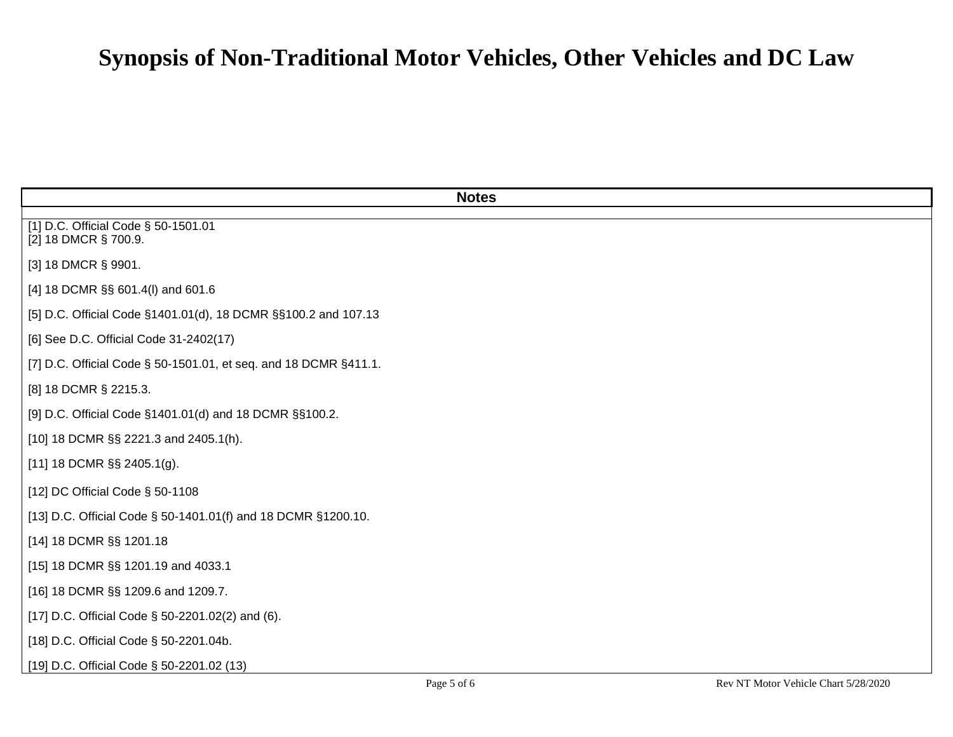| <b>Notes</b>                                                     |
|------------------------------------------------------------------|
| [1] D.C. Official Code § 50-1501.01<br>[2] 18 DMCR § 700.9.      |
| [3] 18 DMCR § 9901.                                              |
| [4] 18 DCMR §§ 601.4(I) and 601.6                                |
| [5] D.C. Official Code §1401.01(d), 18 DCMR §§100.2 and 107.13   |
| [6] See D.C. Official Code 31-2402(17)                           |
| [7] D.C. Official Code § 50-1501.01, et seq. and 18 DCMR §411.1. |
| [8] 18 DCMR § 2215.3.                                            |
| [9] D.C. Official Code §1401.01(d) and 18 DCMR §§100.2.          |
| [10] 18 DCMR §§ 2221.3 and 2405.1(h).                            |
| [11] 18 DCMR $\S$ § 2405.1(g).                                   |
| [12] DC Official Code § 50-1108                                  |
| [13] D.C. Official Code § 50-1401.01(f) and 18 DCMR §1200.10.    |
| [14] 18 DCMR §§ 1201.18                                          |
| [15] 18 DCMR §§ 1201.19 and 4033.1                               |
| [16] 18 DCMR §§ 1209.6 and 1209.7.                               |
| [17] D.C. Official Code § 50-2201.02(2) and (6).                 |
| [18] D.C. Official Code § 50-2201.04b.                           |
| [19] D.C. Official Code § 50-2201.02 (13)                        |